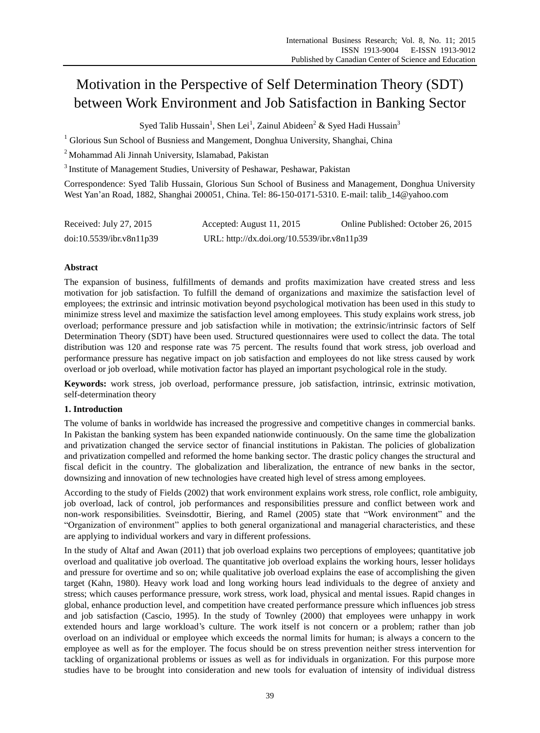# Motivation in the Perspective of Self Determination Theory (SDT) between Work Environment and Job Satisfaction in Banking Sector

Syed Talib Hussain<sup>1</sup>, Shen Lei<sup>1</sup>, Zainul Abideen<sup>2</sup> & Syed Hadi Hussain<sup>3</sup>

 $1$  Glorious Sun School of Busniess and Mangement, Donghua University, Shanghai, China

<sup>2</sup> Mohammad Ali Jinnah University, Islamabad, Pakistan

<sup>3</sup> Institute of Management Studies, University of Peshawar, Peshawar, Pakistan

Correspondence: Syed Talib Hussain, Glorious Sun School of Business and Management, Donghua University West Yan'an Road, 1882, Shanghai 200051, China. Tel: 86-150-0171-5310. E-mail[: talib\\_14@yahoo.com](mailto:talib_14@yahoo.com)

| Received: July 27, 2015  | Accepted: August 11, 2015                   | Online Published: October 26, 2015 |
|--------------------------|---------------------------------------------|------------------------------------|
| doi:10.5539/ibr.v8n11p39 | URL: http://dx.doi.org/10.5539/ibr.v8n11p39 |                                    |

# **Abstract**

The expansion of business, fulfillments of demands and profits maximization have created stress and less motivation for job satisfaction. To fulfill the demand of organizations and maximize the satisfaction level of employees; the extrinsic and intrinsic motivation beyond psychological motivation has been used in this study to minimize stress level and maximize the satisfaction level among employees. This study explains work stress, job overload; performance pressure and job satisfaction while in motivation; the extrinsic/intrinsic factors of Self Determination Theory (SDT) have been used. Structured questionnaires were used to collect the data. The total distribution was 120 and response rate was 75 percent. The results found that work stress, job overload and performance pressure has negative impact on job satisfaction and employees do not like stress caused by work overload or job overload, while motivation factor has played an important psychological role in the study.

**Keywords:** work stress, job overload, performance pressure, job satisfaction, intrinsic, extrinsic motivation, self-determination theory

# **1. Introduction**

The volume of banks in worldwide has increased the progressive and competitive changes in commercial banks. In Pakistan the banking system has been expanded nationwide continuously. On the same time the globalization and privatization changed the service sector of financial institutions in Pakistan. The policies of globalization and privatization compelled and reformed the home banking sector. The drastic policy changes the structural and fiscal deficit in the country. The globalization and liberalization, the entrance of new banks in the sector, downsizing and innovation of new technologies have created high level of stress among employees.

According to the study of Fields (2002) that work environment explains work stress, role conflict, role ambiguity, job overload, lack of control, job performances and responsibilities pressure and conflict between work and non-work responsibilities. Sveinsdottir, Biering, and Ramel (2005) state that "Work environment" and the "Organization of environment" applies to both general organizational and managerial characteristics, and these are applying to individual workers and vary in different professions.

In the study of Altaf and Awan (2011) that job overload explains two perceptions of employees; quantitative job overload and qualitative job overload. The quantitative job overload explains the working hours, lesser holidays and pressure for overtime and so on; while qualitative job overload explains the ease of accomplishing the given target (Kahn, 1980). Heavy work load and long working hours lead individuals to the degree of anxiety and stress; which causes performance pressure, work stress, work load, physical and mental issues. Rapid changes in global, enhance production level, and competition have created performance pressure which influences job stress and job satisfaction (Cascio, 1995). In the study of Townley (2000) that employees were unhappy in work extended hours and large workload's culture. The work itself is not concern or a problem; rather than job overload on an individual or employee which exceeds the normal limits for human; is always a concern to the employee as well as for the employer. The focus should be on stress prevention neither stress intervention for tackling of organizational problems or issues as well as for individuals in organization. For this purpose more studies have to be brought into consideration and new tools for evaluation of intensity of individual distress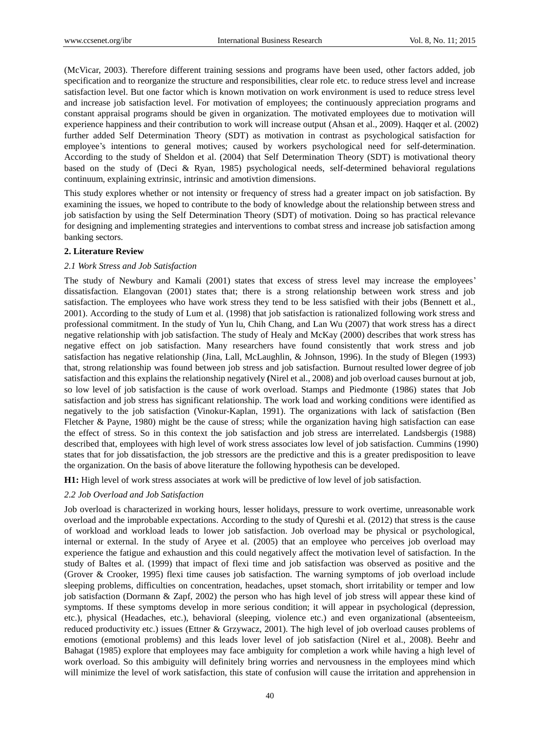(McVicar, 2003). Therefore different training sessions and programs have been used, other factors added, job specification and to reorganize the structure and responsibilities, clear role etc. to reduce stress level and increase satisfaction level. But one factor which is known motivation on work environment is used to reduce stress level and increase job satisfaction level. For motivation of employees; the continuously appreciation programs and constant appraisal programs should be given in organization. The motivated employees due to motivation will experience happiness and their contribution to work will increase output (Ahsan et al., 2009). Haqqer et al. (2002) further added Self Determination Theory (SDT) as motivation in contrast as psychological satisfaction for employee's intentions to general motives; caused by workers psychological need for self-determination. According to the study of Sheldon et al. (2004) that Self Determination Theory (SDT) is motivational theory based on the study of (Deci & Ryan, 1985) psychological needs, self-determined behavioral regulations continuum, explaining extrinsic, intrinsic and amotivtion dimensions.

This study explores whether or not intensity or frequency of stress had a greater impact on job satisfaction. By examining the issues, we hoped to contribute to the body of knowledge about the relationship between stress and job satisfaction by using the Self Determination Theory (SDT) of motivation. Doing so has practical relevance for designing and implementing strategies and interventions to combat stress and increase job satisfaction among banking sectors.

## **2. Literature Review**

## *2.1 Work Stress and Job Satisfaction*

The study of Newbury and Kamali (2001) states that excess of stress level may increase the employees' dissatisfaction. Elangovan (2001) states that; there is a strong relationship between work stress and job satisfaction. The employees who have work stress they tend to be less satisfied with their jobs (Bennett et al., 2001). According to the study of Lum et al. (1998) that job satisfaction is rationalized following work stress and professional commitment. In the study of Yun lu, Chih Chang, and Lan Wu (2007) that work stress has a direct negative relationship with job satisfaction. The study of Healy and McKay (2000) describes that work stress has negative effect on job satisfaction. Many researchers have found consistently that work stress and job satisfaction has negative relationship (Jina, Lall, McLaughlin, & Johnson, 1996). In the study of Blegen (1993) that, strong relationship was found between job stress and job satisfaction. Burnout resulted lower degree of job satisfaction and this explains the relationship negatively **(**Nirel et al., 2008) and job overload causes burnout at job, so low level of job satisfaction is the cause of work overload. Stamps and Piedmonte (1986) states that Job satisfaction and job stress has significant relationship. The work load and working conditions were identified as negatively to the job satisfaction (Vinokur-Kaplan, 1991). The organizations with lack of satisfaction (Ben Fletcher & Payne, 1980) might be the cause of stress; while the organization having high satisfaction can ease the effect of stress. So in this context the job satisfaction and job stress are interrelated. Landsbergis (1988) described that, employees with high level of work stress associates low level of job satisfaction. Cummins (1990) states that for job dissatisfaction, the job stressors are the predictive and this is a greater predisposition to leave the organization. On the basis of above literature the following hypothesis can be developed.

**H1:** High level of work stress associates at work will be predictive of low level of job satisfaction.

# *2.2 Job Overload and Job Satisfaction*

Job overload is characterized in working hours, lesser holidays, pressure to work overtime, unreasonable work overload and the improbable expectations. According to the study of Qureshi et al. (2012) that stress is the cause of workload and workload leads to lower job satisfaction. Job overload may be physical or psychological, internal or external. In the study of Aryee et al. (2005) that an employee who perceives job overload may experience the fatigue and exhaustion and this could negatively affect the motivation level of satisfaction. In the study of Baltes et al. (1999) that impact of flexi time and job satisfaction was observed as positive and the (Grover & Crooker, 1995) flexi time causes job satisfaction. The warning symptoms of job overload include sleeping problems, difficulties on concentration, headaches, upset stomach, short irritability or temper and low job satisfaction (Dormann & Zapf, 2002) the person who has high level of job stress will appear these kind of symptoms. If these symptoms develop in more serious condition; it will appear in psychological (depression, etc.), physical (Headaches, etc.), behavioral (sleeping, violence etc.) and even organizational (absenteeism, reduced productivity etc.) issues (Ettner & Grzywacz, 2001). The high level of job overload causes problems of emotions (emotional problems) and this leads lover level of job satisfaction (Nirel et al., 2008). Beehr and Bahagat (1985) explore that employees may face ambiguity for completion a work while having a high level of work overload. So this ambiguity will definitely bring worries and nervousness in the employees mind which will minimize the level of work satisfaction, this state of confusion will cause the irritation and apprehension in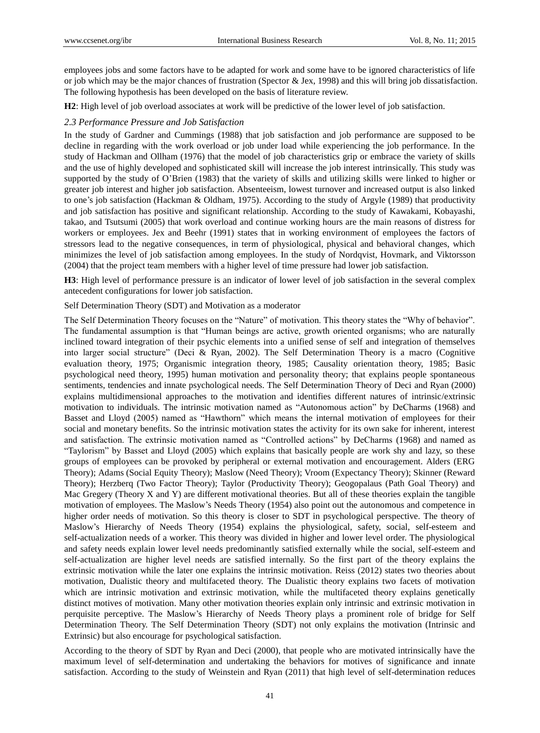employees jobs and some factors have to be adapted for work and some have to be ignored characteristics of life or job which may be the major chances of frustration (Spector & Jex, 1998) and this will bring job dissatisfaction. The following hypothesis has been developed on the basis of literature review.

**H2**: High level of job overload associates at work will be predictive of the lower level of job satisfaction.

# *2.3 Performance Pressure and Job Satisfaction*

In the study of Gardner and Cummings (1988) that job satisfaction and job performance are supposed to be decline in regarding with the work overload or job under load while experiencing the job performance. In the study of Hackman and Ollham (1976) that the model of job characteristics grip or embrace the variety of skills and the use of highly developed and sophisticated skill will increase the job interest intrinsically. This study was supported by the study of O'Brien (1983) that the variety of skills and utilizing skills were linked to higher or greater job interest and higher job satisfaction. Absenteeism, lowest turnover and increased output is also linked to one's job satisfaction (Hackman & Oldham, 1975). According to the study of Argyle (1989) that productivity and job satisfaction has positive and significant relationship. According to the study of Kawakami, Kobayashi, takao, and Tsutsumi (2005) that work overload and continue working hours are the main reasons of distress for workers or employees. Jex and Beehr (1991) states that in working environment of employees the factors of stressors lead to the negative consequences, in term of physiological, physical and behavioral changes, which minimizes the level of job satisfaction among employees. In the study of Nordqvist, Hovmark, and Viktorsson (2004) that the project team members with a higher level of time pressure had lower job satisfaction.

**H3**: High level of performance pressure is an indicator of lower level of job satisfaction in the several complex antecedent configurations for lower job satisfaction.

#### Self Determination Theory (SDT) and Motivation as a moderator

The Self Determination Theory focuses on the "Nature" of motivation. This theory states the "Why of behavior". The fundamental assumption is that "Human beings are active, growth oriented organisms; who are naturally inclined toward integration of their psychic elements into a unified sense of self and integration of themselves into larger social structure" (Deci & Ryan, 2002). The Self Determination Theory is a macro (Cognitive evaluation theory, 1975; Organismic integration theory, 1985; Causality orientation theory, 1985; Basic psychological need theory, 1995) human motivation and personality theory; that explains people spontaneous sentiments, tendencies and innate psychological needs. The Self Determination Theory of Deci and Ryan (2000) explains multidimensional approaches to the motivation and identifies different natures of intrinsic/extrinsic motivation to individuals. The intrinsic motivation named as "Autonomous action" by DeCharms (1968) and Basset and Lloyd (2005) named as "Hawthorn" which means the internal motivation of employees for their social and monetary benefits. So the intrinsic motivation states the activity for its own sake for inherent, interest and satisfaction. The extrinsic motivation named as "Controlled actions" by DeCharms (1968) and named as "Taylorism" by Basset and Lloyd (2005) which explains that basically people are work shy and lazy, so these groups of employees can be provoked by peripheral or external motivation and encouragement. Alders (ERG Theory); Adams (Social Equity Theory); Maslow (Need Theory); Vroom (Expectancy Theory); Skinner (Reward Theory); Herzberq (Two Factor Theory); Taylor (Productivity Theory); Geogopalaus (Path Goal Theory) and Mac Gregery (Theory X and Y) are different motivational theories. But all of these theories explain the tangible motivation of employees. The Maslow's Needs Theory (1954) also point out the autonomous and competence in higher order needs of motivation. So this theory is closer to SDT in psychological perspective. The theory of Maslow's Hierarchy of Needs Theory (1954) explains the physiological, safety, social, self-esteem and self-actualization needs of a worker. This theory was divided in higher and lower level order. The physiological and safety needs explain lower level needs predominantly satisfied externally while the social, self-esteem and self-actualization are higher level needs are satisfied internally. So the first part of the theory explains the extrinsic motivation while the later one explains the intrinsic motivation. Reiss (2012) states two theories about motivation, Dualistic theory and multifaceted theory. The Dualistic theory explains two facets of motivation which are intrinsic motivation and extrinsic motivation, while the multifaceted theory explains genetically distinct motives of motivation. Many other motivation theories explain only intrinsic and extrinsic motivation in perquisite perceptive. The Maslow's Hierarchy of Needs Theory plays a prominent role of bridge for Self Determination Theory. The Self Determination Theory (SDT) not only explains the motivation (Intrinsic and Extrinsic) but also encourage for psychological satisfaction.

According to the theory of SDT by Ryan and Deci (2000), that people who are motivated intrinsically have the maximum level of self-determination and undertaking the behaviors for motives of significance and innate satisfaction. According to the study of Weinstein and Ryan (2011) that high level of self-determination reduces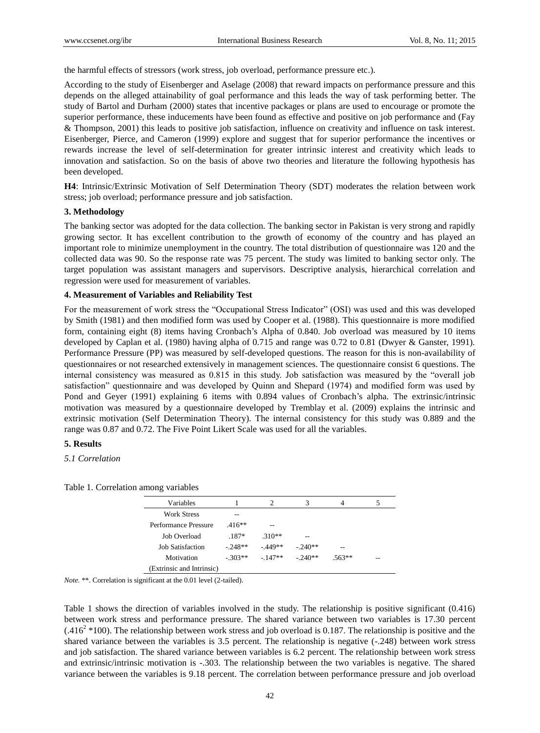the harmful effects of stressors (work stress, job overload, performance pressure etc.).

According to the study of Eisenberger and Aselage (2008) that reward impacts on performance pressure and this depends on the alleged attainability of goal performance and this leads the way of task performing better. The study of Bartol and Durham (2000) states that incentive packages or plans are used to encourage or promote the superior performance, these inducements have been found as effective and positive on job performance and (Fay & Thompson, 2001) this leads to positive job satisfaction, influence on creativity and influence on task interest. Eisenberger, Pierce, and Cameron (1999) explore and suggest that for superior performance the incentives or rewards increase the level of self-determination for greater intrinsic interest and creativity which leads to innovation and satisfaction. So on the basis of above two theories and literature the following hypothesis has been developed.

**H4**: Intrinsic/Extrinsic Motivation of Self Determination Theory (SDT) moderates the relation between work stress; job overload; performance pressure and job satisfaction.

# **3. Methodology**

The banking sector was adopted for the data collection. The banking sector in Pakistan is very strong and rapidly growing sector. It has excellent contribution to the growth of economy of the country and has played an important role to minimize unemployment in the country. The total distribution of questionnaire was 120 and the collected data was 90. So the response rate was 75 percent. The study was limited to banking sector only. The target population was assistant managers and supervisors. Descriptive analysis, hierarchical correlation and regression were used for measurement of variables.

# **4. Measurement of Variables and Reliability Test**

For the measurement of work stress the "Occupational Stress Indicator" (OSI) was used and this was developed by Smith (1981) and then modified form was used by Cooper et al. (1988). This questionnaire is more modified form, containing eight (8) items having Cronbach's Alpha of 0.840. Job overload was measured by 10 items developed by Caplan et al. (1980) having alpha of 0.715 and range was 0.72 to 0.81 (Dwyer & Ganster, 1991). Performance Pressure (PP) was measured by self-developed questions. The reason for this is non-availability of questionnaires or not researched extensively in management sciences. The questionnaire consist 6 questions. The internal consistency was measured as 0.815 in this study. Job satisfaction was measured by the "overall job satisfaction" questionnaire and was developed by Quinn and Shepard (1974) and modified form was used by Pond and Geyer (1991) explaining 6 items with 0.894 values of Cronbach's alpha. The extrinsic/intrinsic motivation was measured by a questionnaire developed by Tremblay et al. (2009) explains the intrinsic and extrinsic motivation (Self Determination Theory). The internal consistency for this study was 0.889 and the range was 0.87 and 0.72. The Five Point Likert Scale was used for all the variables.

### **5. Results**

*5.1 Correlation*

|  | Table 1. Correlation among variables |  |  |
|--|--------------------------------------|--|--|
|--|--------------------------------------|--|--|

| Variables                 |           |          | 3         | 4        |    |
|---------------------------|-----------|----------|-----------|----------|----|
| <b>Work Stress</b>        |           |          |           |          |    |
| Performance Pressure      | $.416**$  |          |           |          |    |
| Job Overload              | $187*$    | $310**$  | --        |          |    |
| Job Satisfaction          | $-.248**$ | $-449**$ | $-.240**$ | --       |    |
| Motivation                | $-303**$  | $-147**$ | $-240**$  | $.563**$ | -- |
| (Extrinsic and Intrinsic) |           |          |           |          |    |

*Note.* \*\*. Correlation is significant at the 0.01 level (2-tailed).

Table 1 shows the direction of variables involved in the study. The relationship is positive significant (0.416) between work stress and performance pressure. The shared variance between two variables is 17.30 percent  $(.416<sup>2</sup> *100)$ . The relationship between work stress and job overload is 0.187. The relationship is positive and the shared variance between the variables is 3.5 percent. The relationship is negative (-.248) between work stress and job satisfaction. The shared variance between variables is 6.2 percent. The relationship between work stress and extrinsic/intrinsic motivation is -.303. The relationship between the two variables is negative. The shared variance between the variables is 9.18 percent. The correlation between performance pressure and job overload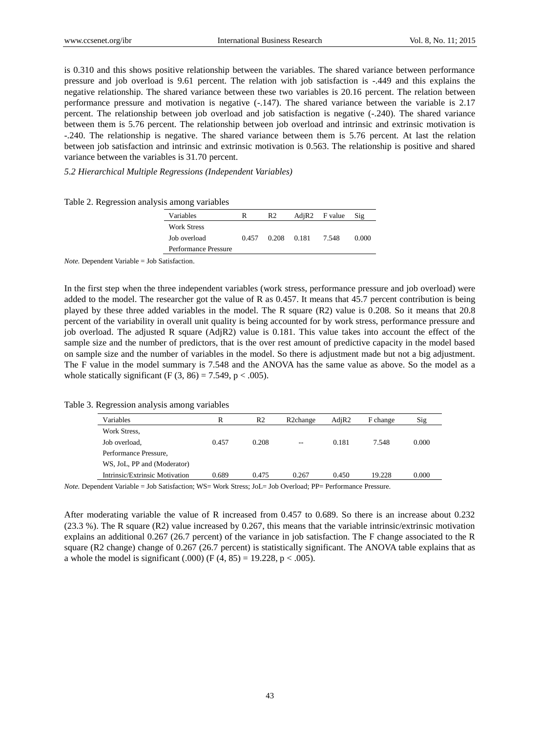is 0.310 and this shows positive relationship between the variables. The shared variance between performance pressure and job overload is 9.61 percent. The relation with job satisfaction is -.449 and this explains the negative relationship. The shared variance between these two variables is 20.16 percent. The relation between performance pressure and motivation is negative (-.147). The shared variance between the variable is 2.17 percent. The relationship between job overload and job satisfaction is negative (-.240). The shared variance between them is 5.76 percent. The relationship between job overload and intrinsic and extrinsic motivation is -.240. The relationship is negative. The shared variance between them is 5.76 percent. At last the relation between job satisfaction and intrinsic and extrinsic motivation is 0.563. The relationship is positive and shared variance between the variables is 31.70 percent.

*5.2 Hierarchical Multiple Regressions (Independent Variables)*

| Table 2. Regression analysis among variables |  |  |
|----------------------------------------------|--|--|
|                                              |  |  |
|                                              |  |  |

| Variables            | R     | R <sub>2</sub> |       | $AdjR2$ F value | Si <sub>g</sub> |
|----------------------|-------|----------------|-------|-----------------|-----------------|
| <b>Work Stress</b>   |       |                |       |                 |                 |
| Job overload         | 0.457 | 0.208          | 0.181 | 7.548           | 0.000           |
| Performance Pressure |       |                |       |                 |                 |

*Note.* Dependent Variable = Job Satisfaction.

In the first step when the three independent variables (work stress, performance pressure and job overload) were added to the model. The researcher got the value of R as 0.457. It means that 45.7 percent contribution is being played by these three added variables in the model. The R square (R2) value is 0.208. So it means that 20.8 percent of the variability in overall unit quality is being accounted for by work stress, performance pressure and job overload. The adjusted R square (AdjR2) value is 0.181. This value takes into account the effect of the sample size and the number of predictors, that is the over rest amount of predictive capacity in the model based on sample size and the number of variables in the model. So there is adjustment made but not a big adjustment. The F value in the model summary is 7.548 and the ANOVA has the same value as above. So the model as a whole statically significant (F  $(3, 86) = 7.549$ , p < .005).

Table 3. Regression analysis among variables

| Variables                      | R     | R <sub>2</sub> | R <sub>2</sub> change | AdiR2 | F change | Sig   |
|--------------------------------|-------|----------------|-----------------------|-------|----------|-------|
| Work Stress,                   |       |                |                       |       |          |       |
| Job overload.                  | 0.457 | 0.208          | --                    | 0.181 | 7.548    | 0.000 |
| Performance Pressure,          |       |                |                       |       |          |       |
| WS, JoL, PP and (Moderator)    |       |                |                       |       |          |       |
| Intrinsic/Extrinsic Motivation | 0.689 | 0.475          | 0.267                 | 0.450 | 19.228   | 0.000 |

*Note.* Dependent Variable = Job Satisfaction; WS= Work Stress; JoL= Job Overload; PP= Performance Pressure.

After moderating variable the value of R increased from 0.457 to 0.689. So there is an increase about 0.232 (23.3 %). The R square (R2) value increased by 0.267, this means that the variable intrinsic/extrinsic motivation explains an additional 0.267 (26.7 percent) of the variance in job satisfaction. The F change associated to the R square (R2 change) change of 0.267 (26.7 percent) is statistically significant. The ANOVA table explains that as a whole the model is significant  $(.000)$  (F  $(4, 85) = 19.228$ , p < .005).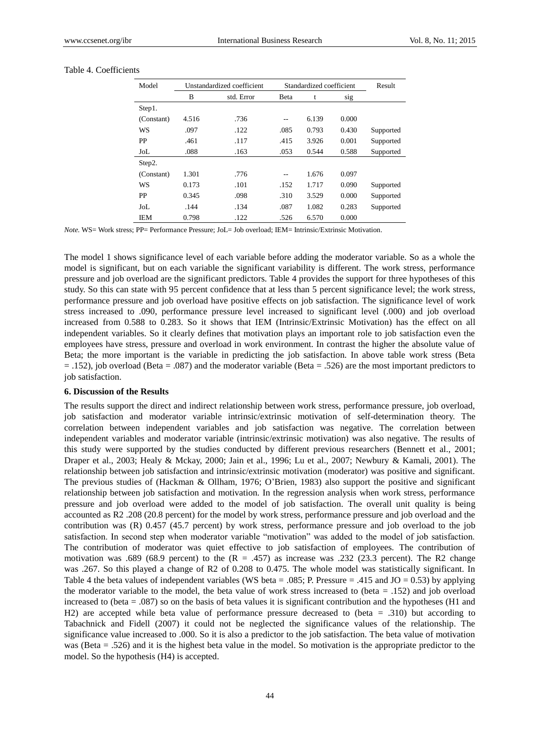#### Table 4. Coefficients

| Model         | Unstandardized coefficient |            | Standardized coefficient |       |       | Result    |
|---------------|----------------------------|------------|--------------------------|-------|-------|-----------|
|               | B                          | std. Error | Beta                     | t     | sig   |           |
| Step1.        |                            |            |                          |       |       |           |
| (Constant)    | 4.516                      | .736       | $- -$                    | 6.139 | 0.000 |           |
| <b>WS</b>     | .097                       | .122       | .085                     | 0.793 | 0.430 | Supported |
| PP            | .461                       | .117       | .415                     | 3.926 | 0.001 | Supported |
| $_{\rm{IoL}}$ | .088                       | .163       | .053                     | 0.544 | 0.588 | Supported |
| Step2.        |                            |            |                          |       |       |           |
| (Constant)    | 1.301                      | .776       | --                       | 1.676 | 0.097 |           |
| WS            | 0.173                      | .101       | .152                     | 1.717 | 0.090 | Supported |
| PP            | 0.345                      | .098       | .310                     | 3.529 | 0.000 | Supported |
| JoL.          | .144                       | .134       | .087                     | 1.082 | 0.283 | Supported |
| <b>IEM</b>    | 0.798                      | .122       | .526                     | 6.570 | 0.000 |           |

*Note.* WS= Work stress; PP= Performance Pressure; JoL= Job overload; IEM= Intrinsic/Extrinsic Motivation.

The model 1 shows significance level of each variable before adding the moderator variable. So as a whole the model is significant, but on each variable the significant variability is different. The work stress, performance pressure and job overload are the significant predictors. Table 4 provides the support for three hypotheses of this study. So this can state with 95 percent confidence that at less than 5 percent significance level; the work stress, performance pressure and job overload have positive effects on job satisfaction. The significance level of work stress increased to .090, performance pressure level increased to significant level (.000) and job overload increased from 0.588 to 0.283. So it shows that IEM (Intrinsic/Extrinsic Motivation) has the effect on all independent variables. So it clearly defines that motivation plays an important role to job satisfaction even the employees have stress, pressure and overload in work environment. In contrast the higher the absolute value of Beta; the more important is the variable in predicting the job satisfaction. In above table work stress (Beta = .152), job overload (Beta = .087) and the moderator variable (Beta = .526) are the most important predictors to job satisfaction.

#### **6. Discussion of the Results**

The results support the direct and indirect relationship between work stress, performance pressure, job overload, job satisfaction and moderator variable intrinsic/extrinsic motivation of self-determination theory. The correlation between independent variables and job satisfaction was negative. The correlation between independent variables and moderator variable (intrinsic/extrinsic motivation) was also negative. The results of this study were supported by the studies conducted by different previous researchers (Bennett et al., 2001; Draper et al., 2003; Healy & Mckay, 2000; Jain et al., 1996; Lu et al., 2007; Newbury & Kamali, 2001). The relationship between job satisfaction and intrinsic/extrinsic motivation (moderator) was positive and significant. The previous studies of (Hackman & Ollham, 1976; O'Brien, 1983) also support the positive and significant relationship between job satisfaction and motivation. In the regression analysis when work stress, performance pressure and job overload were added to the model of job satisfaction. The overall unit quality is being accounted as R2 .208 (20.8 percent) for the model by work stress, performance pressure and job overload and the contribution was (R) 0.457 (45.7 percent) by work stress, performance pressure and job overload to the job satisfaction. In second step when moderator variable "motivation" was added to the model of job satisfaction. The contribution of moderator was quiet effective to job satisfaction of employees. The contribution of motivation was .689 (68.9 percent) to the  $(R = .457)$  as increase was .232 (23.3 percent). The R2 change was .267. So this played a change of R2 of 0.208 to 0.475. The whole model was statistically significant. In Table 4 the beta values of independent variables (WS beta = .085; P. Pressure = .415 and  $JO = 0.53$ ) by applying the moderator variable to the model, the beta value of work stress increased to (beta = .152) and job overload increased to (beta = .087) so on the basis of beta values it is significant contribution and the hypotheses (H1 and H2) are accepted while beta value of performance pressure decreased to (beta = .310) but according to Tabachnick and Fidell (2007) it could not be neglected the significance values of the relationship. The significance value increased to .000. So it is also a predictor to the job satisfaction. The beta value of motivation was (Beta = .526) and it is the highest beta value in the model. So motivation is the appropriate predictor to the model. So the hypothesis (H4) is accepted.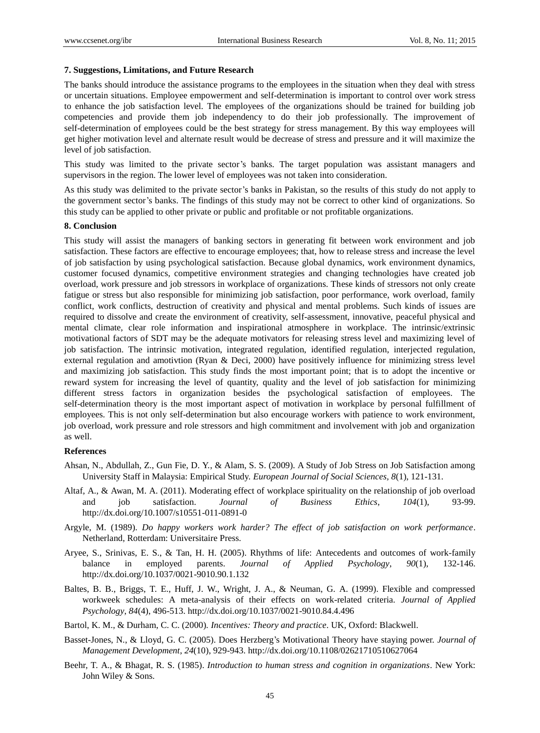#### **7. Suggestions, Limitations, and Future Research**

The banks should introduce the assistance programs to the employees in the situation when they deal with stress or uncertain situations. Employee empowerment and self-determination is important to control over work stress to enhance the job satisfaction level. The employees of the organizations should be trained for building job competencies and provide them job independency to do their job professionally. The improvement of self-determination of employees could be the best strategy for stress management. By this way employees will get higher motivation level and alternate result would be decrease of stress and pressure and it will maximize the level of job satisfaction.

This study was limited to the private sector's banks. The target population was assistant managers and supervisors in the region. The lower level of employees was not taken into consideration.

As this study was delimited to the private sector's banks in Pakistan, so the results of this study do not apply to the government sector's banks. The findings of this study may not be correct to other kind of organizations. So this study can be applied to other private or public and profitable or not profitable organizations.

## **8. Conclusion**

This study will assist the managers of banking sectors in generating fit between work environment and job satisfaction. These factors are effective to encourage employees; that, how to release stress and increase the level of job satisfaction by using psychological satisfaction. Because global dynamics, work environment dynamics, customer focused dynamics, competitive environment strategies and changing technologies have created job overload, work pressure and job stressors in workplace of organizations. These kinds of stressors not only create fatigue or stress but also responsible for minimizing job satisfaction, poor performance, work overload, family conflict, work conflicts, destruction of creativity and physical and mental problems. Such kinds of issues are required to dissolve and create the environment of creativity, self-assessment, innovative, peaceful physical and mental climate, clear role information and inspirational atmosphere in workplace. The intrinsic/extrinsic motivational factors of SDT may be the adequate motivators for releasing stress level and maximizing level of job satisfaction. The intrinsic motivation, integrated regulation, identified regulation, interjected regulation, external regulation and amotivtion (Ryan & Deci, 2000) have positively influence for minimizing stress level and maximizing job satisfaction. This study finds the most important point; that is to adopt the incentive or reward system for increasing the level of quantity, quality and the level of job satisfaction for minimizing different stress factors in organization besides the psychological satisfaction of employees. The self-determination theory is the most important aspect of motivation in workplace by personal fulfillment of employees. This is not only self-determination but also encourage workers with patience to work environment, job overload, work pressure and role stressors and high commitment and involvement with job and organization as well.

#### **References**

- Ahsan, N., Abdullah, Z., Gun Fie, D. Y., & Alam, S. S. (2009). A Study of Job Stress on Job Satisfaction among University Staff in Malaysia: Empirical Study. *European Journal of Social Sciences, 8*(1), 121-131.
- Altaf, A., & Awan, M. A. (2011). Moderating effect of workplace spirituality on the relationship of job overload and job satisfaction. *Journal of Business Ethics*, *104*(1), 93-99. <http://dx.doi.org/10.1007/s10551-011-0891-0>
- Argyle, M. (1989). *Do happy workers work harder? The effect of job satisfaction on work performance*. Netherland, Rotterdam: Universitaire Press.
- Aryee, S., Srinivas, E. S., & Tan, H. H. (2005). Rhythms of life: Antecedents and outcomes of work-family balance in employed parents. *Journal of Applied Psychology*, *90*(1), 132-146. <http://dx.doi.org/10.1037/0021-9010.90.1.132>
- Baltes, B. B., Briggs, T. E., Huff, J. W., Wright, J. A., & Neuman, G. A. (1999). Flexible and compressed workweek schedules: A meta-analysis of their effects on work-related criteria. *Journal of Applied Psychology*, *84*(4), 496-513.<http://dx.doi.org/10.1037/0021-9010.84.4.496>
- Bartol, K. M., & Durham, C. C. (2000)*. Incentives: Theory and practice*. UK, Oxford: Blackwell.
- Basset-Jones, N., & Lloyd, G. C. (2005). Does Herzberg's Motivational Theory have staying power. *Journal of Management Development*, *24*(10), 929-943[. http://dx.doi.org/10.1108/02621710510627064](http://dx.doi.org/10.1108/02621710510627064)
- Beehr, T. A., & Bhagat, R. S. (1985). *Introduction to human stress and cognition in organizations*. New York: John Wiley & Sons.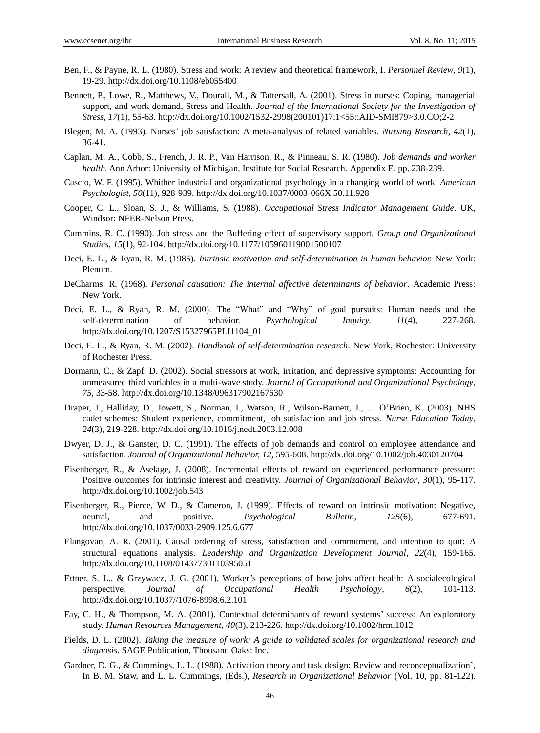- Ben, F., & Payne, R. L. (1980). Stress and work: A review and theoretical framework, I. *Personnel Review*, *9*(1), 19-29.<http://dx.doi.org/10.1108/eb055400>
- Bennett, P., Lowe, R., Matthews, V., Dourali, M., & Tattersall, A. (2001). Stress in nurses: Coping, managerial support, and work demand, Stress and Health. *Journal of the International Society for the Investigation of Stress*, *17*(1), 55-63[. http://dx.doi.org/10.1002/1532-2998\(200101\)17:1<55::AID-SMI879>3.0.CO;2-2](http://dx.doi.org/10.1002/1532-2998(200101)17:1%3c55::AID-SMI879%3e3.0.CO;2-2)
- Blegen, M. A. (1993). Nurses' job satisfaction: A meta-analysis of related variables. *Nursing Research, 42*(1), 36-41.
- Caplan, M. A., Cobb, S., French, J. R. P., Van Harrison, R., & Pinneau, S. R. (1980). *Job demands and worker health.* Ann Arbor: University of Michigan, Institute for Social Research. Appendix E, pp. 238-239.
- Cascio, W. F. (1995). Whither industrial and organizational psychology in a changing world of work. *American Psychologist*, *50*(11), 928-939[. http://dx.doi.org/10.1037/0003-066X.50.11.928](http://dx.doi.org/10.1037/0003-066X.50.11.928)
- Cooper, C. L., Sloan, S. J., & Williams, S. (1988). *Occupational Stress Indicator Management Guide*. UK, Windsor: NFER-Nelson Press.
- Cummins, R. C. (1990). Job stress and the Buffering effect of supervisory support. *Group and Organizational Studies*, *15*(1), 92-104.<http://dx.doi.org/10.1177/105960119001500107>
- Deci, E. L., & Ryan, R. M. (1985). *Intrinsic motivation and self-determination in human behavior.* New York: Plenum.
- DeCharms, R. (1968). *Personal causation: The internal affective determinants of behavior*. Academic Press: New York.
- Deci, E. L., & Ryan, R. M. (2000). The "What" and "Why" of goal pursuits: Human needs and the self-determination of behavior. *Psychological Inquiry, 11*(4), 227-268. [http://dx.doi.org/10.1207/S15327965PLI1104\\_01](http://dx.doi.org/10.1207/S15327965PLI1104_01)
- Deci, E. L., & Ryan, R. M. (2002). *Handbook of self-determination research.* New York, Rochester: University of Rochester Press.
- Dormann, C., & Zapf, D. (2002). Social stressors at work, irritation, and depressive symptoms: Accounting for unmeasured third variables in a multi-wave study. *Journal of Occupational and Organizational Psychology*, *75*, 33-58.<http://dx.doi.org/10.1348/096317902167630>
- Draper, J., Halliday, D., Jowett, S., Norman, I., Watson, R., Wilson-Barnett, J., … O'Brien, K. (2003). NHS cadet schemes: Student experience, commitment, job satisfaction and job stress. *Nurse Education Today*, *24*(3), 219-228.<http://dx.doi.org/10.1016/j.nedt.2003.12.008>
- Dwyer, D. J., & Ganster, D. C. (1991). The effects of job demands and control on employee attendance and satisfaction. *Journal of Organizational Behavior, 12*, 595-608[. http://dx.doi.org/10.1002/job.4030120704](http://dx.doi.org/10.1002/job.4030120704)
- Eisenberger, R., & Aselage, J. (2008). Incremental effects of reward on experienced performance pressure: Positive outcomes for intrinsic interest and creativity. *Journal of Organizational Behavior*, *30*(1), 95-117. <http://dx.doi.org/10.1002/job.543>
- Eisenberger, R., Pierce, W. D., & Cameron, J. (1999). Effects of reward on intrinsic motivation: Negative, neutral, and positive. *Psychological Bulletin*, *125*(6), 677-691. <http://dx.doi.org/10.1037/0033-2909.125.6.677>
- Elangovan, A. R. (2001). Causal ordering of stress, satisfaction and commitment, and intention to quit: A structural equations analysis. *Leadership and Organization Development Journal*, *22*(4), 159-165. <http://dx.doi.org/10.1108/01437730110395051>
- Ettner, S. L., & Grzywacz, J. G. (2001). Worker's perceptions of how jobs affect health: A socialecological perspective. *Journal of Occupational Health Psychology*, *6*(2), 101-113. [http://dx.doi.org/10.1037//1076-8998.6.2.101](http://dx.doi.org/10.1037/1076-8998.6.2.101)
- Fay, C. H., & Thompson, M. A. (2001). Contextual determinants of reward systems' success: An exploratory study. *Human Resources Management, 40*(3), 213-226.<http://dx.doi.org/10.1002/hrm.1012>
- Fields, D. L. (2002). *Taking the measure of work; A guide to validated scales for organizational research and diagnosis*. SAGE Publication, Thousand Oaks: Inc.
- Gardner, D. G., & Cummings, L. L. (1988). Activation theory and task design: Review and reconceptualization', In B. M. Staw, and L. L. Cummings, (Eds.), *Research in Organizational Behavior* (Vol. 10, pp. 81-122).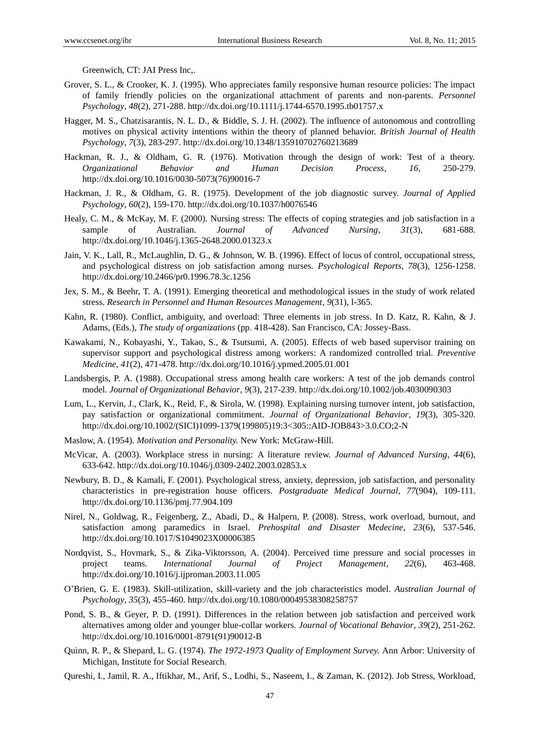Greenwich, CT: JAI Press Inc,.

- Grover, S. L., & Crooker, K. J. (1995). Who appreciates family responsive human resource policies: The impact of family friendly policies on the organizational attachment of parents and non-parents. *Personnel Psychology*, *48*(2), 271-288.<http://dx.doi.org/10.1111/j.1744-6570.1995.tb01757.x>
- Hagger, M. S., Chatzisarantis, N. L. D., & Biddle, S. J. H. (2002). The influence of autonomous and controlling motives on physical activity intentions within the theory of planned behavior. *British Journal of Health Psychology*, *7*(3), 283-297.<http://dx.doi.org/10.1348/135910702760213689>
- Hackman, R. J., & Oldham, G. R. (1976). Motivation through the design of work: Test of a theory. *Organizational Behavior and Human Decision Process*, *16,* 250-279. [http://dx.doi.org/10.1016/0030-5073\(76\)90016-7](http://dx.doi.org/10.1016/0030-5073(76)90016-7)
- Hackman, J. R., & Oldham, G. R. (1975). Development of the job diagnostic survey. *Journal of Applied Psychology*, *60*(2), 159-170.<http://dx.doi.org/10.1037/h0076546>
- Healy, C. M., & McKay, M. F. (2000). Nursing stress: The effects of coping strategies and job satisfaction in a sample of Australian. *Journal of Advanced Nursing*, *31*(3), 681-688. <http://dx.doi.org/10.1046/j.1365-2648.2000.01323.x>
- Jain, V. K., Lall, R., McLaughlin, D. G., & Johnson, W. B. (1996). Effect of locus of control, occupational stress, and psychological distress on job satisfaction among nurses. *Psychological Reports*, *78*(3), 1256-1258. <http://dx.doi.org/10.2466/pr0.1996.78.3c.1256>
- Jex, S. M., & Beehr, T. A. (1991). Emerging theoretical and methodological issues in the study of work related stress. *Research in Personnel and Human Resources Management*, *9*(31), l-365.
- Kahn, R. (1980). Conflict, ambiguity, and overload: Three elements in job stress. In D. Katz, R. Kahn, & J. Adams, (Eds.), *The study of organizations* (pp. 418-428). San Francisco, CA: Jossey-Bass.
- Kawakami, N., Kobayashi, Y., Takao, S., & Tsutsumi, A. (2005). Effects of web based supervisor training on supervisor support and psychological distress among workers: A randomized controlled trial. *Preventive Medicine*, *41*(2), 471-478.<http://dx.doi.org/10.1016/j.ypmed.2005.01.001>
- Landsbergis, P. A. (1988). Occupational stress among health care workers: A test of the job demands control model. *Journal of Organizational Behavior*, *9*(3), 217-239[. http://dx.doi.org/10.1002/job.4030090303](http://dx.doi.org/10.1002/job.4030090303)
- Lum, L., Kervin, J., Clark, K., Reid, F., & Sirola, W. (1998). Explaining nursing turnover intent, job satisfaction, pay satisfaction or organizational commitment. *Journal of Organizational Behavior*, *19*(3), 305-320. [http://dx.doi.org/10.1002/\(SICI\)1099-1379\(199805\)19:3<305::AID-JOB843>3.0.CO;2-N](http://dx.doi.org/10.1002/(SICI)1099-1379(199805)19:3%3c305::AID-JOB843%3e3.0.CO;2-N)
- Maslow, A. (1954). *Motivation and Personality.* New York: McGraw-Hill.
- McVicar, A. (2003). Workplace stress in nursing: A literature review. *Journal of Advanced Nursing*, *44*(6), 633-642.<http://dx.doi.org/10.1046/j.0309-2402.2003.02853.x>
- Newbury, B. D., & Kamali, F. (2001). Psychological stress, anxiety, depression, job satisfaction, and personality characteristics in pre-registration house officers. *Postgraduate Medical Journal*, *77*(904), 109-111. <http://dx.doi.org/10.1136/pmj.77.904.109>
- Nirel, N., Goldwag, R., Feigenberg, Z., Abadi, D., & Halpern, P. (2008). Stress, work overload, burnout, and satisfaction among paramedics in Israel. *Prehospital and Disaster Medecine*, *23*(6), 537-546. <http://dx.doi.org/10.1017/S1049023X00006385>
- Nordqvist, S., Hovmark, S., & Zika-Viktorsson, A. (2004). Perceived time pressure and social processes in project teams. *International Journal of Project Management*, *22*(6), 463-468. <http://dx.doi.org/10.1016/j.ijproman.2003.11.005>
- O'Brien, G. E. (1983). Skill-utilization, skill-variety and the job characteristics model. *Australian Journal of Psychology*, *35*(3), 455-460.<http://dx.doi.org/10.1080/00049538308258757>
- Pond, S. B., & Geyer, P. D. (1991). Differences in the relation between job satisfaction and perceived work alternatives among older and younger blue-collar workers. *Journal of Vocational Behavior*, *39*(2), 251-262. [http://dx.doi.org/10.1016/0001-8791\(91\)90012-B](http://dx.doi.org/10.1016/0001-8791(91)90012-B)
- Quinn, R. P., & Shepard, L. G. (1974). *The 1972-1973 Quality of Employment Survey.* Ann Arbor: University of Michigan, Institute for Social Research.
- Qureshi, I., Jamil, R. A., Iftikhar, M., Arif, S., Lodhi, S., Naseem, I., & Zaman, K. (2012). Job Stress, Workload,